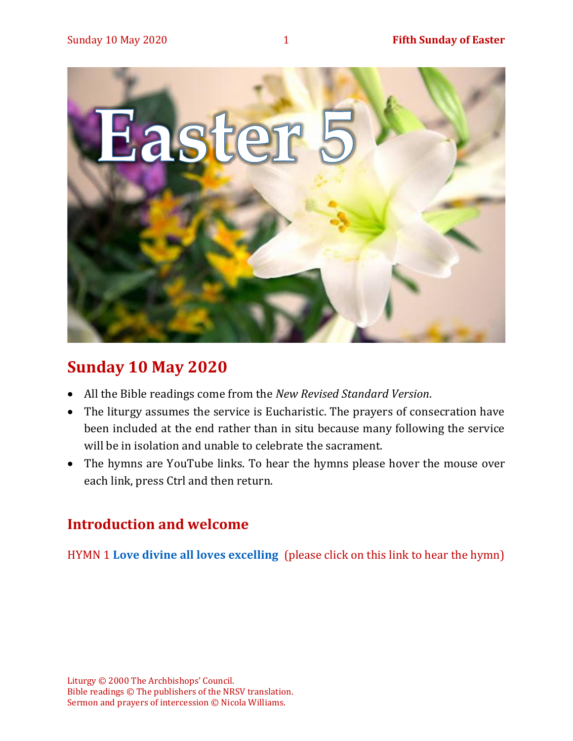

## **Sunday 10 May 2020**

- All the Bible readings come from the *New Revised Standard Version*.
- The liturgy assumes the service is Eucharistic. The prayers of consecration have been included at the end rather than in situ because many following the service will be in isolation and unable to celebrate the sacrament.
- The hymns are YouTube links. To hear the hymns please hover the mouse over each link, press Ctrl and then return.

## **Introduction and welcome**

HYMN 1 **[Love divine all loves excelling](https://youtu.be/jPsxqQsnzJA)** (please click on this link to hear the hymn)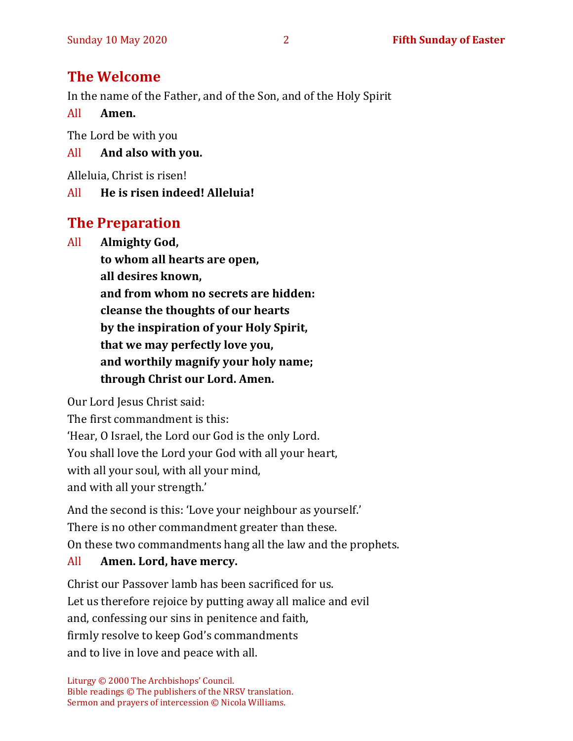## **The Welcome**

In the name of the Father, and of the Son, and of the Holy Spirit

All **Amen.**

The Lord be with you

## All **And also with you.**

Alleluia, Christ is risen!

## All **He is risen indeed! Alleluia!**

## **The Preparation**

All **Almighty God, to whom all hearts are open, all desires known, and from whom no secrets are hidden: cleanse the thoughts of our hearts by the inspiration of your Holy Spirit, that we may perfectly love you, and worthily magnify your holy name; through Christ our Lord. Amen.**

Our Lord Jesus Christ said:

The first commandment is this:

'Hear, O Israel, the Lord our God is the only Lord.

You shall love the Lord your God with all your heart,

with all your soul, with all your mind,

and with all your strength.'

And the second is this: 'Love your neighbour as yourself.' There is no other commandment greater than these. On these two commandments hang all the law and the prophets.

## All **Amen. Lord, have mercy.**

Christ our Passover lamb has been sacrificed for us. Let us therefore rejoice by putting away all malice and evil and, confessing our sins in penitence and faith, firmly resolve to keep God's commandments and to live in love and peace with all.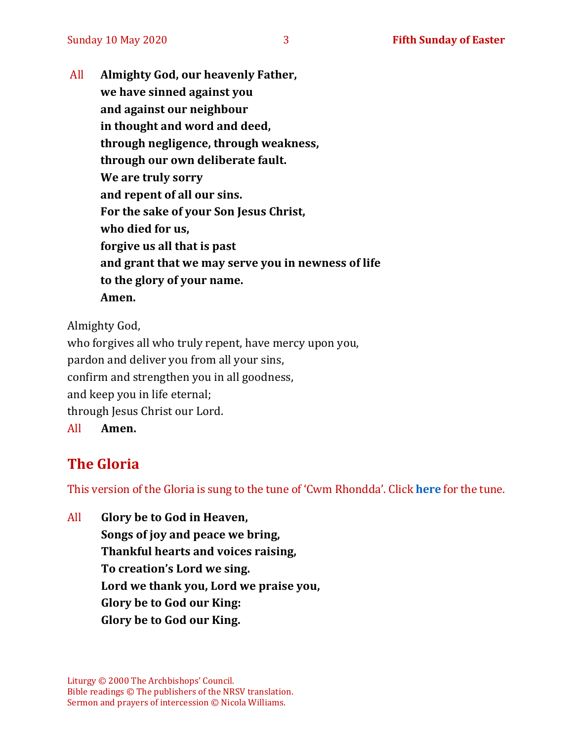All **Almighty God, our heavenly Father, we have sinned against you and against our neighbour in thought and word and deed, through negligence, through weakness, through our own deliberate fault. We are truly sorry and repent of all our sins. For the sake of your Son Jesus Christ, who died for us, forgive us all that is past and grant that we may serve you in newness of life to the glory of your name. Amen.**

Almighty God,

who forgives all who truly repent, have mercy upon you, pardon and deliver you from all your sins, confirm and strengthen you in all goodness, and keep you in life eternal; through Jesus Christ our Lord. All **Amen.**

## **The Gloria**

This version of the Gloria is sung to the tune of 'Cwm Rhondda'. Click **[here](about:blank)** for the tune.

All **Glory be to God in Heaven, Songs of joy and peace we bring, Thankful hearts and voices raising, To creation's Lord we sing. Lord we thank you, Lord we praise you, Glory be to God our King: Glory be to God our King.**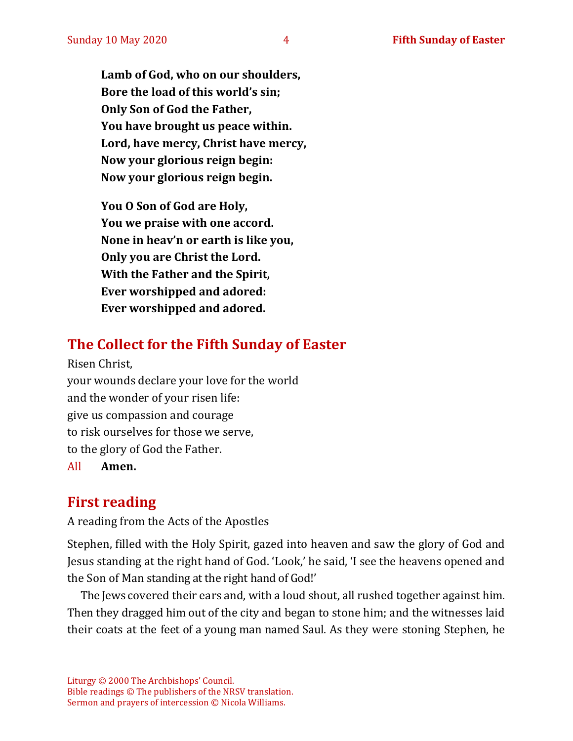**Lamb of God, who on our shoulders, Bore the load of this world's sin; Only Son of God the Father, You have brought us peace within. Lord, have mercy, Christ have mercy, Now your glorious reign begin: Now your glorious reign begin.**

**You O Son of God are Holy, You we praise with one accord. None in heav'n or earth is like you, Only you are Christ the Lord. With the Father and the Spirit, Ever worshipped and adored: Ever worshipped and adored.**

## **The Collect for the Fifth Sunday of Easter**

Risen Christ, your wounds declare your love for the world and the wonder of your risen life: give us compassion and courage to risk ourselves for those we serve, to the glory of God the Father. All **Amen.**

## **First reading**

A reading from the Acts of the Apostles

Stephen, filled with the Holy Spirit, gazed into heaven and saw the glory of God and Jesus standing at the right hand of God. 'Look,' he said, 'I see the heavens opened and the Son of Man standing at the right hand of God!'

The Jews covered their ears and, with a loud shout, all rushed together against him. Then they dragged him out of the city and began to stone him; and the witnesses laid their coats at the feet of a young man named Saul. As they were stoning Stephen, he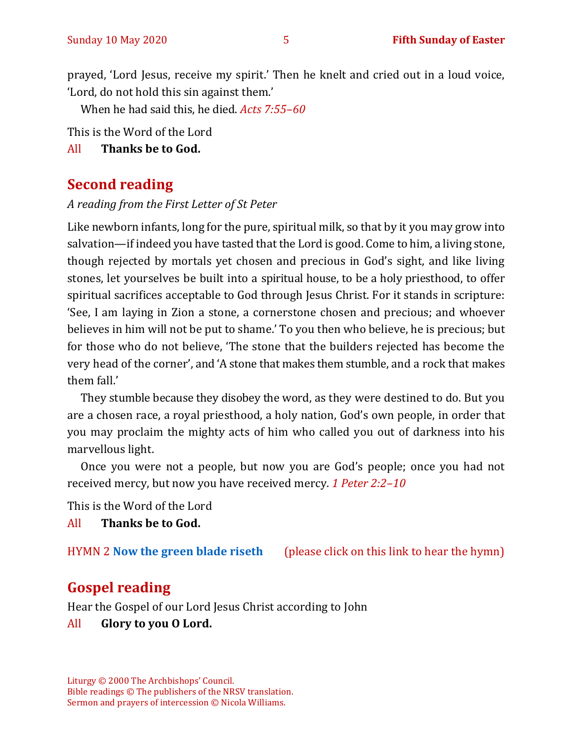prayed, 'Lord Jesus, receive my spirit.' Then he knelt and cried out in a loud voice, 'Lord, do not hold this sin against them.'

When he had said this, he died. *Acts 7:55–60*

This is the Word of the Lord

All **Thanks be to God.**

## **Second reading**

*A reading from the First Letter of St Peter*

Like newborn infants, long for the pure, spiritual milk, so that by it you may grow into salvation—if indeed you have tasted that the Lord is good. Come to him, a living stone, though rejected by mortals yet chosen and precious in God's sight, and like living stones, let yourselves be built into a spiritual house, to be a holy priesthood, to offer spiritual sacrifices acceptable to God through Jesus Christ. For it stands in scripture: 'See, I am laying in Zion a stone, a cornerstone chosen and precious; and whoever believes in him will not be put to shame.' To you then who believe, he is precious; but for those who do not believe, 'The stone that the builders rejected has become the very head of the corner', and 'A stone that makes them stumble, and a rock that makes them fall.'

They stumble because they disobey the word, as they were destined to do. But you are a chosen race, a royal priesthood, a holy nation, God's own people, in order that you may proclaim the mighty acts of him who called you out of darkness into his marvellous light.

Once you were not a people, but now you are God's people; once you had not received mercy, but now you have received mercy. *1 Peter 2:2–10*

This is the Word of the Lord

All **Thanks be to God.**

HYMN 2 **[Now the green blade riseth](https://youtu.be/UVduV0ustWw)** (please click on this link to hear the hymn)

## **Gospel reading**

Hear the Gospel of our Lord Jesus Christ according to John

#### All **Glory to you O Lord.**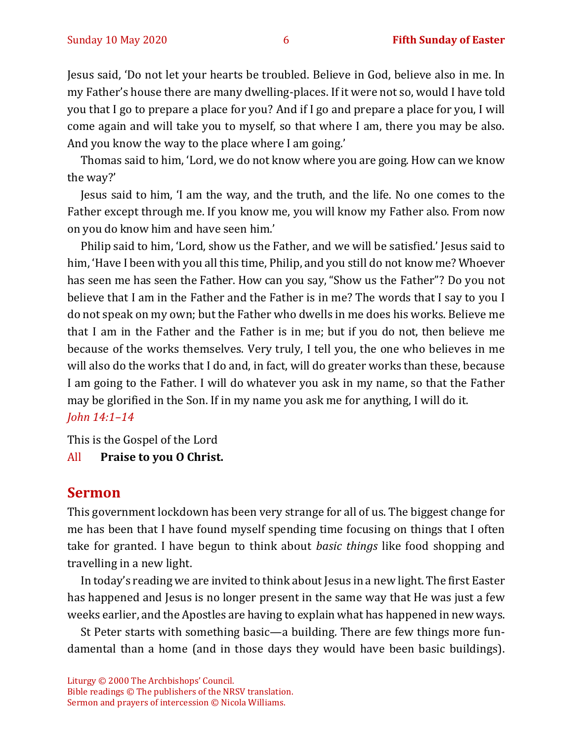Jesus said, 'Do not let your hearts be troubled. Believe in God, believe also in me. In my Father's house there are many dwelling-places. If it were not so, would I have told you that I go to prepare a place for you? And if I go and prepare a place for you, I will come again and will take you to myself, so that where I am, there you may be also. And you know the way to the place where I am going.'

Thomas said to him, 'Lord, we do not know where you are going. How can we know the way?'

Jesus said to him, 'I am the way, and the truth, and the life. No one comes to the Father except through me. If you know me, you will know my Father also. From now on you do know him and have seen him.'

Philip said to him, 'Lord, show us the Father, and we will be satisfied.' Jesus said to him, 'Have I been with you all this time, Philip, and you still do not know me? Whoever has seen me has seen the Father. How can you say, "Show us the Father"? Do you not believe that I am in the Father and the Father is in me? The words that I say to you I do not speak on my own; but the Father who dwells in me does his works. Believe me that I am in the Father and the Father is in me; but if you do not, then believe me because of the works themselves. Very truly, I tell you, the one who believes in me will also do the works that I do and, in fact, will do greater works than these, because I am going to the Father. I will do whatever you ask in my name, so that the Father may be glorified in the Son. If in my name you ask me for anything, I will do it. *John 14:1–14*

This is the Gospel of the Lord

All **Praise to you O Christ.** 

#### **Sermon**

This government lockdown has been very strange for all of us. The biggest change for me has been that I have found myself spending time focusing on things that I often take for granted. I have begun to think about *basic things* like food shopping and travelling in a new light.

In today's reading we are invited to think about Jesus in a new light. The first Easter has happened and Jesus is no longer present in the same way that He was just a few weeks earlier, and the Apostles are having to explain what has happened in new ways.

St Peter starts with something basic—a building. There are few things more fundamental than a home (and in those days they would have been basic buildings).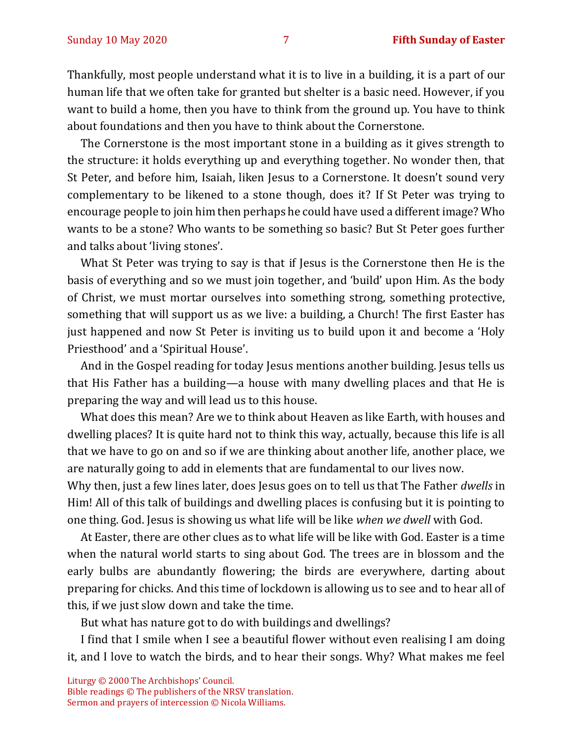Thankfully, most people understand what it is to live in a building, it is a part of our human life that we often take for granted but shelter is a basic need. However, if you want to build a home, then you have to think from the ground up. You have to think about foundations and then you have to think about the Cornerstone.

The Cornerstone is the most important stone in a building as it gives strength to the structure: it holds everything up and everything together. No wonder then, that St Peter, and before him, Isaiah, liken Jesus to a Cornerstone. It doesn't sound very complementary to be likened to a stone though, does it? If St Peter was trying to encourage people to join him then perhaps he could have used a different image? Who wants to be a stone? Who wants to be something so basic? But St Peter goes further and talks about 'living stones'.

What St Peter was trying to say is that if Jesus is the Cornerstone then He is the basis of everything and so we must join together, and 'build' upon Him. As the body of Christ, we must mortar ourselves into something strong, something protective, something that will support us as we live: a building, a Church! The first Easter has just happened and now St Peter is inviting us to build upon it and become a 'Holy Priesthood' and a 'Spiritual House'.

And in the Gospel reading for today Jesus mentions another building. Jesus tells us that His Father has a building—a house with many dwelling places and that He is preparing the way and will lead us to this house.

What does this mean? Are we to think about Heaven as like Earth, with houses and dwelling places? It is quite hard not to think this way, actually, because this life is all that we have to go on and so if we are thinking about another life, another place, we are naturally going to add in elements that are fundamental to our lives now.

Why then, just a few lines later, does Jesus goes on to tell us that The Father *dwells* in Him! All of this talk of buildings and dwelling places is confusing but it is pointing to one thing. God. Jesus is showing us what life will be like *when we dwell* with God.

At Easter, there are other clues as to what life will be like with God. Easter is a time when the natural world starts to sing about God. The trees are in blossom and the early bulbs are abundantly flowering; the birds are everywhere, darting about preparing for chicks. And this time of lockdown is allowing us to see and to hear all of this, if we just slow down and take the time.

But what has nature got to do with buildings and dwellings?

I find that I smile when I see a beautiful flower without even realising I am doing it, and I love to watch the birds, and to hear their songs. Why? What makes me feel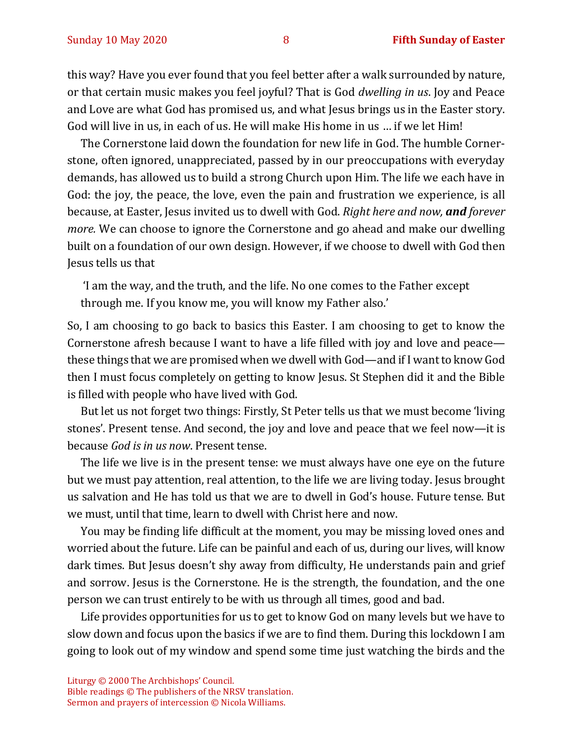this way? Have you ever found that you feel better after a walk surrounded by nature, or that certain music makes you feel joyful? That is God *dwelling in us*. Joy and Peace and Love are what God has promised us, and what Jesus brings us in the Easter story. God will live in us, in each of us. He will make His home in us … if we let Him!

The Cornerstone laid down the foundation for new life in God. The humble Cornerstone, often ignored, unappreciated, passed by in our preoccupations with everyday demands, has allowed us to build a strong Church upon Him. The life we each have in God: the joy, the peace, the love, even the pain and frustration we experience, is all because, at Easter, Jesus invited us to dwell with God. *Right here and now, and forever more.* We can choose to ignore the Cornerstone and go ahead and make our dwelling built on a foundation of our own design. However, if we choose to dwell with God then Jesus tells us that

'I am the way, and the truth, and the life. No one comes to the Father except through me. If you know me, you will know my Father also.'

So, I am choosing to go back to basics this Easter. I am choosing to get to know the Cornerstone afresh because I want to have a life filled with joy and love and peace these things that we are promised when we dwell with God—and if I want to know God then I must focus completely on getting to know Jesus. St Stephen did it and the Bible is filled with people who have lived with God.

But let us not forget two things: Firstly, St Peter tells us that we must become 'living stones'. Present tense. And second, the joy and love and peace that we feel now—it is because *God is in us now*. Present tense.

The life we live is in the present tense: we must always have one eye on the future but we must pay attention, real attention, to the life we are living today. Jesus brought us salvation and He has told us that we are to dwell in God's house. Future tense. But we must, until that time, learn to dwell with Christ here and now.

You may be finding life difficult at the moment, you may be missing loved ones and worried about the future. Life can be painful and each of us, during our lives, will know dark times. But Jesus doesn't shy away from difficulty, He understands pain and grief and sorrow. Jesus is the Cornerstone. He is the strength, the foundation, and the one person we can trust entirely to be with us through all times, good and bad.

Life provides opportunities for us to get to know God on many levels but we have to slow down and focus upon the basics if we are to find them. During this lockdown I am going to look out of my window and spend some time just watching the birds and the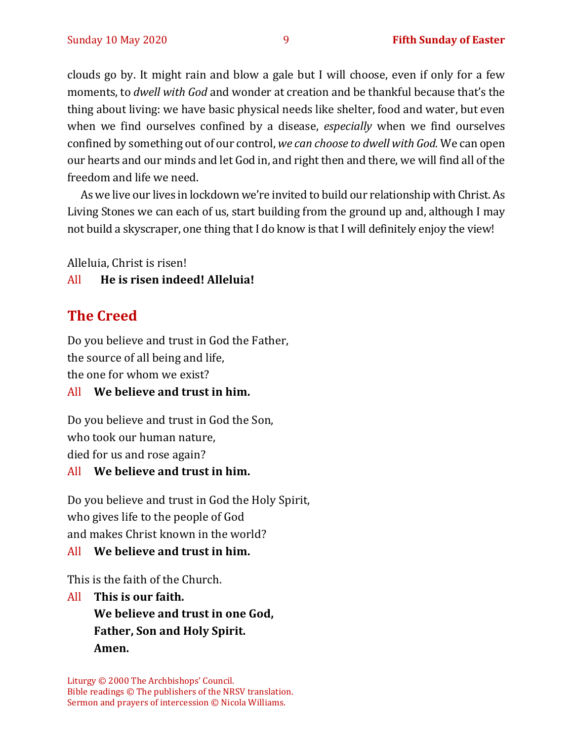clouds go by. It might rain and blow a gale but I will choose, even if only for a few moments, to *dwell with God* and wonder at creation and be thankful because that's the thing about living: we have basic physical needs like shelter, food and water, but even when we find ourselves confined by a disease, *especially* when we find ourselves confined by something out of our control, *we can choose to dwell with God.* We can open our hearts and our minds and let God in, and right then and there, we will find all of the freedom and life we need.

As we live our lives in lockdown we're invited to build our relationship with Christ. As Living Stones we can each of us, start building from the ground up and, although I may not build a skyscraper, one thing that I do know is that I will definitely enjoy the view!

Alleluia, Christ is risen!

#### All **He is risen indeed! Alleluia!**

## **The Creed**

Do you believe and trust in God the Father, the source of all being and life,

the one for whom we exist?

#### All **We believe and trust in him.**

Do you believe and trust in God the Son, who took our human nature, died for us and rose again?

#### All **We believe and trust in him.**

Do you believe and trust in God the Holy Spirit, who gives life to the people of God and makes Christ known in the world?

#### All **We believe and trust in him.**

This is the faith of the Church.

All **This is our faith. We believe and trust in one God, Father, Son and Holy Spirit. Amen.**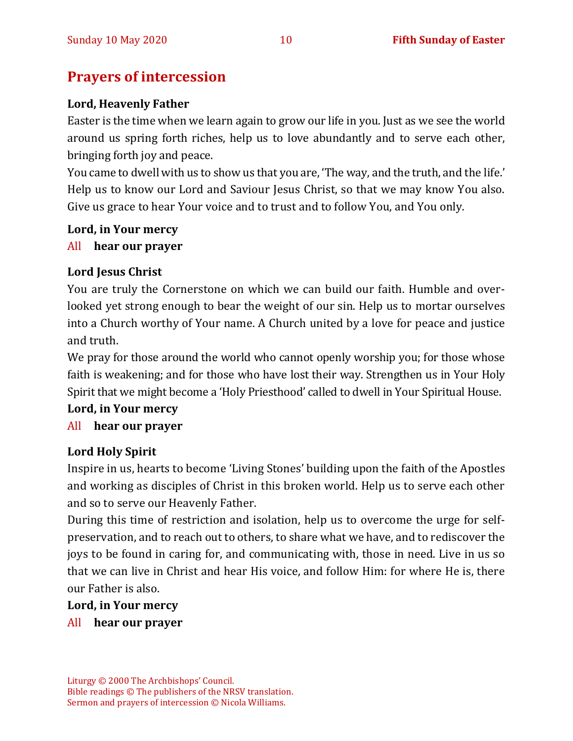## **Prayers of intercession**

#### **Lord, Heavenly Father**

Easter is the time when we learn again to grow our life in you. Just as we see the world around us spring forth riches, help us to love abundantly and to serve each other, bringing forth joy and peace.

You came to dwell with us to show us that you are, 'The way, and the truth, and the life.' Help us to know our Lord and Saviour Jesus Christ, so that we may know You also. Give us grace to hear Your voice and to trust and to follow You, and You only.

#### **Lord, in Your mercy**

#### All **hear our prayer**

#### **Lord Jesus Christ**

You are truly the Cornerstone on which we can build our faith. Humble and overlooked yet strong enough to bear the weight of our sin. Help us to mortar ourselves into a Church worthy of Your name. A Church united by a love for peace and justice and truth.

We pray for those around the world who cannot openly worship you; for those whose faith is weakening; and for those who have lost their way. Strengthen us in Your Holy Spirit that we might become a 'Holy Priesthood' called to dwell in Your Spiritual House.

#### **Lord, in Your mercy**

#### All **hear our prayer**

#### **Lord Holy Spirit**

Inspire in us, hearts to become 'Living Stones' building upon the faith of the Apostles and working as disciples of Christ in this broken world. Help us to serve each other and so to serve our Heavenly Father.

During this time of restriction and isolation, help us to overcome the urge for selfpreservation, and to reach out to others, to share what we have, and to rediscover the joys to be found in caring for, and communicating with, those in need. Live in us so that we can live in Christ and hear His voice, and follow Him: for where He is, there our Father is also.

#### **Lord, in Your mercy**

All **hear our prayer**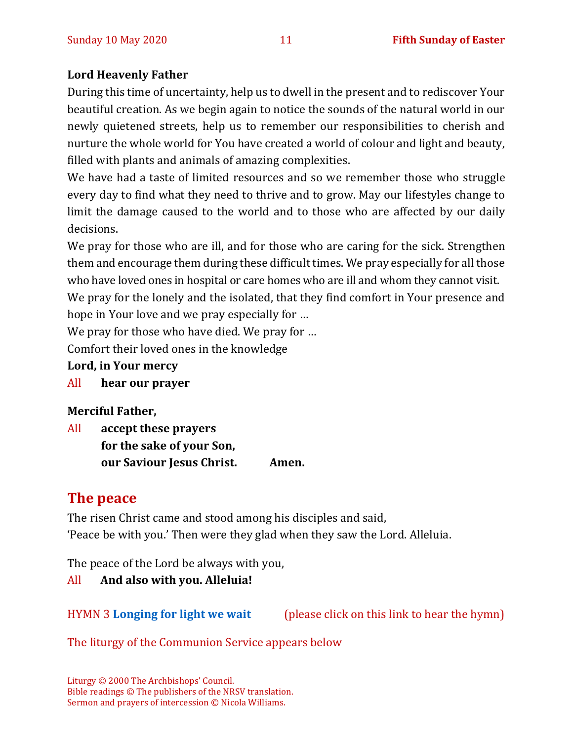#### **Lord Heavenly Father**

During this time of uncertainty, help us to dwell in the present and to rediscover Your beautiful creation. As we begin again to notice the sounds of the natural world in our newly quietened streets, help us to remember our responsibilities to cherish and nurture the whole world for You have created a world of colour and light and beauty, filled with plants and animals of amazing complexities.

We have had a taste of limited resources and so we remember those who struggle every day to find what they need to thrive and to grow. May our lifestyles change to limit the damage caused to the world and to those who are affected by our daily decisions.

We pray for those who are ill, and for those who are caring for the sick. Strengthen them and encourage them during these difficult times. We pray especially for all those who have loved ones in hospital or care homes who are ill and whom they cannot visit.

We pray for the lonely and the isolated, that they find comfort in Your presence and hope in Your love and we pray especially for …

We pray for those who have died. We pray for …

Comfort their loved ones in the knowledge

#### **Lord, in Your mercy**

All **hear our prayer**

#### **Merciful Father,**

All **accept these prayers for the sake of your Son, our Saviour Jesus Christ. Amen.**

## **The peace**

The risen Christ came and stood among his disciples and said, 'Peace be with you.' Then were they glad when they saw the Lord. Alleluia.

The peace of the Lord be always with you,

#### All **And also with you. Alleluia!**

HYMN 3 **[Longing for light we wait](https://youtu.be/ZJq3bhdgQoc)** (please click on this link to hear the hymn)

#### The liturgy of the Communion Service appears below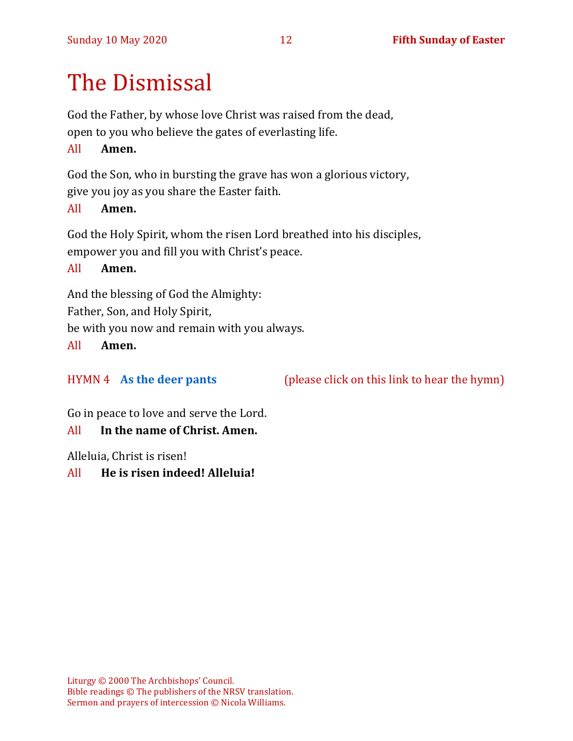# The Dismissal

God the Father, by whose love Christ was raised from the dead, open to you who believe the gates of everlasting life.

#### All **Amen.**

God the Son, who in bursting the grave has won a glorious victory,

give you joy as you share the Easter faith.

#### All **Amen.**

God the Holy Spirit, whom the risen Lord breathed into his disciples, empower you and fill you with Christ's peace.

All **Amen.**

And the blessing of God the Almighty:

Father, Son, and Holy Spirit,

be with you now and remain with you always.

All **Amen.**

#### HYMN 4 **[As the deer pants](https://youtu.be/peZudXt9faU)** (please click on this link to hear the hymn)

Go in peace to love and serve the Lord.

#### All **In the name of Christ. Amen.**

Alleluia, Christ is risen!

#### All **He is risen indeed! Alleluia!**

Liturgy © 2000 The Archbishops' Council. Bible readings © The publishers of the NRSV translation. Sermon and prayers of intercession © Nicola Williams.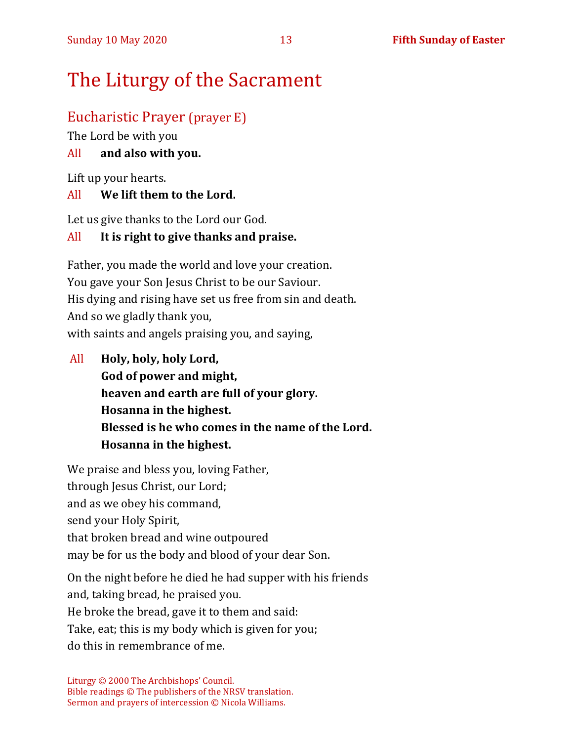## The Liturgy of the Sacrament

## Eucharistic Prayer (prayer E)

The Lord be with you

#### All **and also with you.**

Lift up your hearts.

#### All **We lift them to the Lord.**

Let us give thanks to the Lord our God.

#### All **It is right to give thanks and praise.**

Father, you made the world and love your creation. You gave your Son Jesus Christ to be our Saviour. His dying and rising have set us free from sin and death. And so we gladly thank you, with saints and angels praising you, and saying,

All **Holy, holy, holy Lord, God of power and might, heaven and earth are full of your glory. Hosanna in the highest. Blessed is he who comes in the name of the Lord. Hosanna in the highest.**

We praise and bless you, loving Father, through Jesus Christ, our Lord; and as we obey his command, send your Holy Spirit, that broken bread and wine outpoured may be for us the body and blood of your dear Son.

On the night before he died he had supper with his friends and, taking bread, he praised you. He broke the bread, gave it to them and said: Take, eat; this is my body which is given for you; do this in remembrance of me.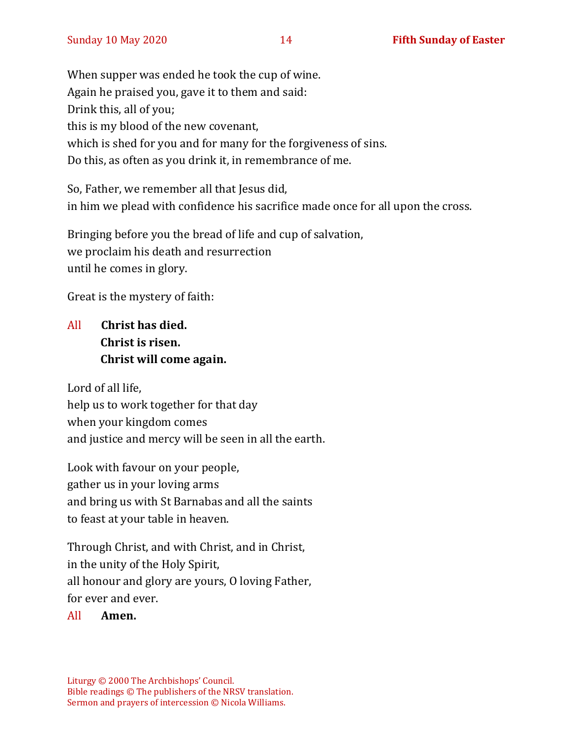When supper was ended he took the cup of wine. Again he praised you, gave it to them and said: Drink this, all of you; this is my blood of the new covenant, which is shed for you and for many for the forgiveness of sins. Do this, as often as you drink it, in remembrance of me.

So, Father, we remember all that Jesus did, in him we plead with confidence his sacrifice made once for all upon the cross.

Bringing before you the bread of life and cup of salvation, we proclaim his death and resurrection until he comes in glory.

Great is the mystery of faith:

## All **Christ has died. Christ is risen. Christ will come again.**

Lord of all life, help us to work together for that day when your kingdom comes and justice and mercy will be seen in all the earth.

Look with favour on your people, gather us in your loving arms and bring us with St Barnabas and all the saints to feast at your table in heaven.

Through Christ, and with Christ, and in Christ, in the unity of the Holy Spirit, all honour and glory are yours, O loving Father, for ever and ever.

#### All **Amen.**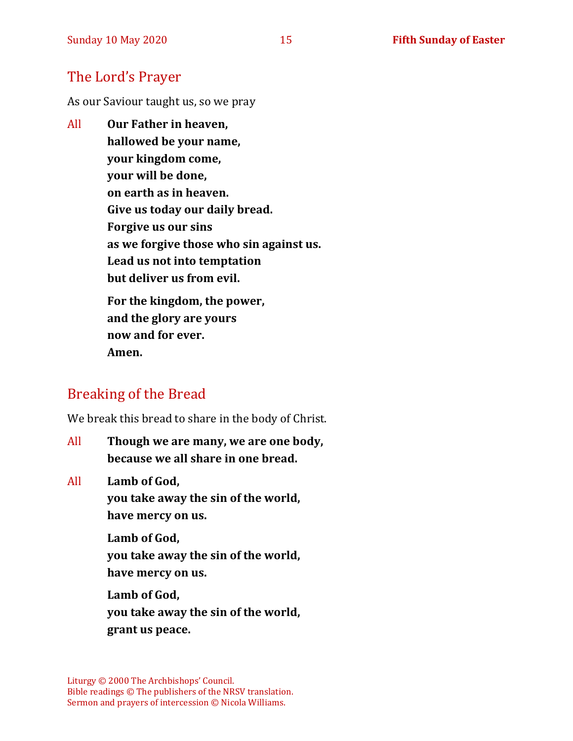## The Lord's Prayer

As our Saviour taught us, so we pray

All **Our Father in heaven, hallowed be your name, your kingdom come, your will be done, on earth as in heaven. Give us today our daily bread. Forgive us our sins as we forgive those who sin against us. Lead us not into temptation but deliver us from evil. For the kingdom, the power, and the glory are yours now and for ever.** 

**Amen.**

## Breaking of the Bread

We break this bread to share in the body of Christ.

All **Though we are many, we are one body, because we all share in one bread.**

All **Lamb of God,**

**you take away the sin of the world, have mercy on us.**

**Lamb of God, you take away the sin of the world, have mercy on us.**

**Lamb of God, you take away the sin of the world, grant us peace.**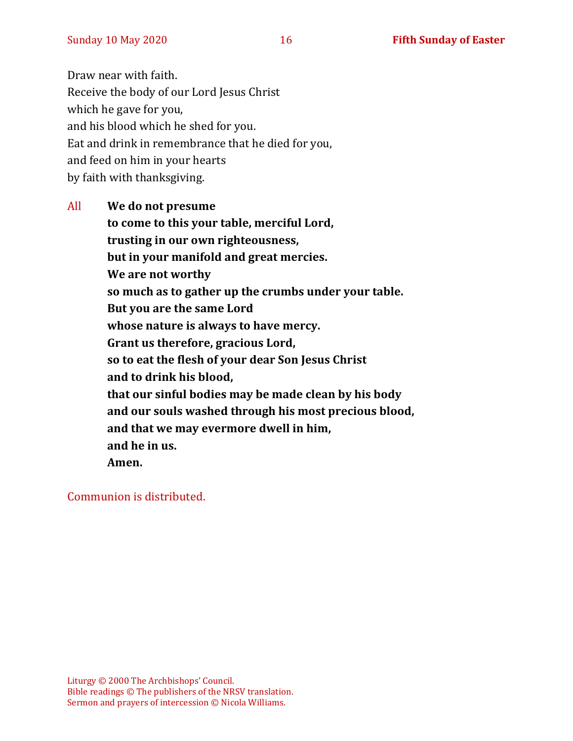Draw near with faith. Receive the body of our Lord Jesus Christ which he gave for you, and his blood which he shed for you. Eat and drink in remembrance that he died for you, and feed on him in your hearts by faith with thanksgiving.

All **We do not presume to come to this your table, merciful Lord, trusting in our own righteousness, but in your manifold and great mercies. We are not worthy so much as to gather up the crumbs under your table. But you are the same Lord whose nature is always to have mercy. Grant us therefore, gracious Lord, so to eat the flesh of your dear Son Jesus Christ and to drink his blood, that our sinful bodies may be made clean by his body and our souls washed through his most precious blood, and that we may evermore dwell in him, and he in us. Amen.**

Communion is distributed.